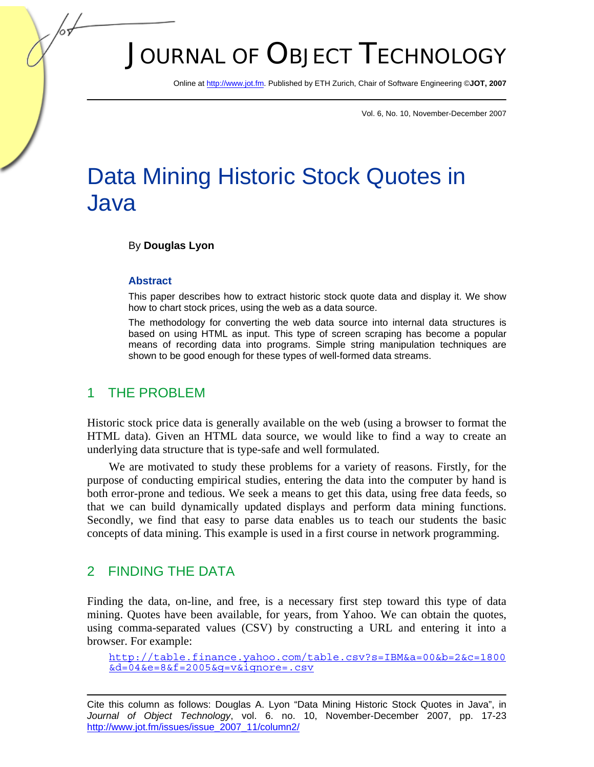# JOURNAL OF OBJECT TECHNOLOGY

Online at http://www.jot.fm. Published by ETH Zurich, Chair of Software Engineering ©**JOT, 2007** 

Vol. 6, No. 10, November-December 2007

# Data Mining Historic Stock Quotes in Java

#### By **Douglas Lyon**

#### **Abstract**

This paper describes how to extract historic stock quote data and display it. We show how to chart stock prices, using the web as a data source.

The methodology for converting the web data source into internal data structures is based on using HTML as input. This type of screen scraping has become a popular means of recording data into programs. Simple string manipulation techniques are shown to be good enough for these types of well-formed data streams.

#### 1 THE PROBLEM

Historic stock price data is generally available on the web (using a browser to format the HTML data). Given an HTML data source, we would like to find a way to create an underlying data structure that is type-safe and well formulated.

We are motivated to study these problems for a variety of reasons. Firstly, for the purpose of conducting empirical studies, entering the data into the computer by hand is both error-prone and tedious. We seek a means to get this data, using free data feeds, so that we can build dynamically updated displays and perform data mining functions. Secondly, we find that easy to parse data enables us to teach our students the basic concepts of data mining. This example is used in a first course in network programming.

#### 2 FINDING THE DATA

Finding the data, on-line, and free, is a necessary first step toward this type of data mining. Quotes have been available, for years, from Yahoo. We can obtain the quotes, using comma-separated values (CSV) by constructing a URL and entering it into a browser. For example:

http://table.finance.yahoo.com/table.csv?s=IBM&a=00&b=2&c=1800 &d=04&e=8&f=2005&g=v&ignore=.csv

Cite this column as follows: Douglas A. Lyon "Data Mining Historic Stock Quotes in Java", in *Journal of Object Technology*, vol. 6. no. 10, November-December 2007, pp. 17-23 http://www.jot.fm/issues/issue\_2007\_11/column2/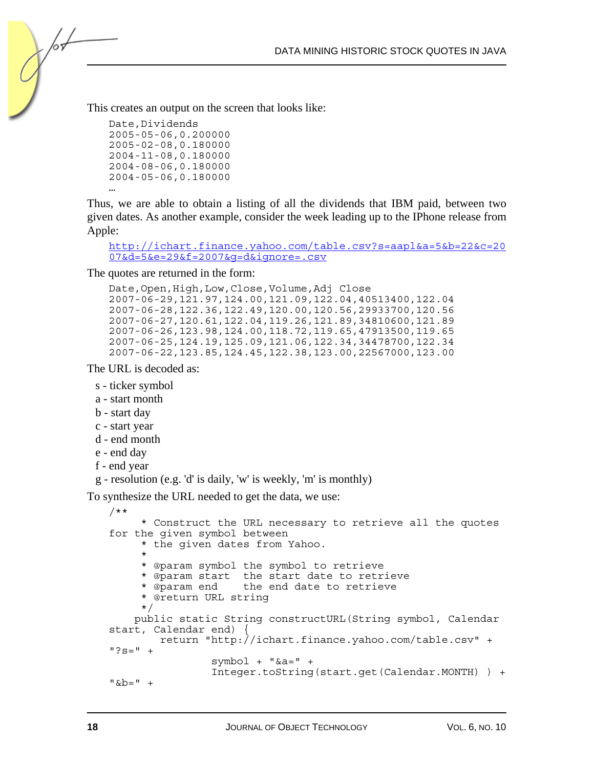This creates an output on the screen that looks like:

```
Date,Dividends 
2005-05-06,0.200000 
2005-02-08,0.180000 
2004-11-08,0.180000 
2004-08-06,0.180000 
2004-05-06,0.180000 
…
```
/or

Thus, we are able to obtain a listing of all the dividends that IBM paid, between two given dates. As another example, consider the week leading up to the IPhone release from Apple:

```
http://ichart.finance.yahoo.com/table.csv?s=aapl&a=5&b=22&c=20
07&d=5&e=29&f=2007&g=d&ignore=.csv
```
The quotes are returned in the form:

```
Date,Open,High,Low,Close,Volume,Adj Close 
2007-06-29,121.97,124.00,121.09,122.04,40513400,122.04 
2007-06-28,122.36,122.49,120.00,120.56,29933700,120.56 
2007-06-27,120.61,122.04,119.26,121.89,34810600,121.89 
2007-06-26,123.98,124.00,118.72,119.65,47913500,119.65 
2007-06-25,124.19,125.09,121.06,122.34,34478700,122.34 
2007-06-22,123.85,124.45,122.38,123.00,22567000,123.00
```
The URL is decoded as:

- s ticker symbol
- a start month
- b start day
- c start year
- d end month
- e end day
- f end year
- g resolution (e.g. 'd' is daily, 'w' is weekly, 'm' is monthly)

To synthesize the URL needed to get the data, we use:

```
/** 
      * Construct the URL necessary to retrieve all the quotes 
for the given symbol between 
      * the given dates from Yahoo. 
\star * @param symbol the symbol to retrieve 
      * @param start the start date to retrieve 
                      the end date to retrieve
      * @return URL string 
      */ 
     public static String constructURL(String symbol, Calendar 
start, Calendar end) { 
         return "http://ichart.finance.yahoo.com/table.csv" + 
"?S=" " + symbol + "&a=" + 
                  Integer.toString(start.get(Calendar.MONTH) ) + 
" & b = " +
```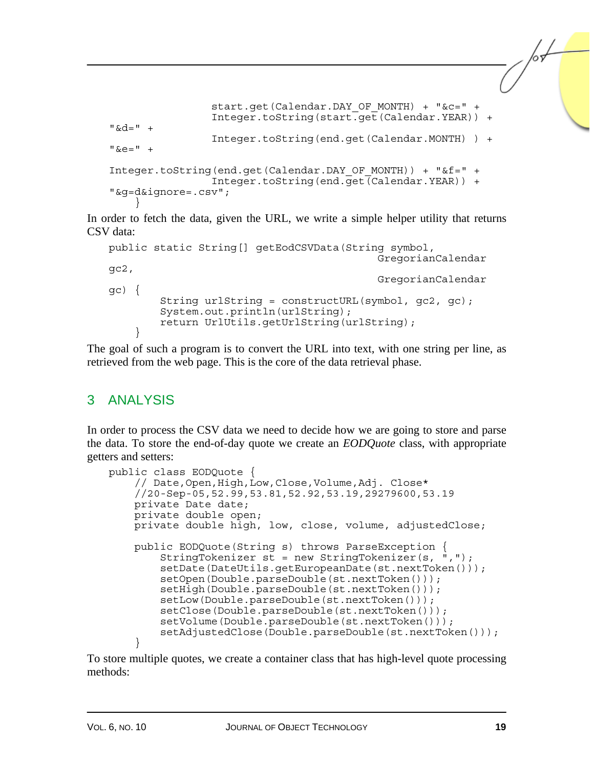```
start.get(Calendar.DAY_OF_MONTH) + "&c=" +
                    Integer.toString(start.get(Calendar.YEAR)) + 
"6d=" +" + Integer.toString(end.get(Calendar.MONTH) ) + 
"6e="" +Integer.toString(end.get(Calendar.DAY_OF_MONTH)) + "&f=" + 
                    Integer.toString(end.get(Calendar.YEAR)) + 
"&g=d&ignore=.csv"; 
\left\{\begin{array}{c}1\end{array}\right\}
```
In order to fetch the data, given the URL, we write a simple helper utility that returns CSV data:

```
public static String[] getEodCSVData(String symbol, 
                                                      GregorianCalendar 
gc2, 
                                                      GregorianCalendar 
\sigma \left\{ \begin{array}{c} 1 \end{array} \right\}String urlString = constructURL(symbol, qc2, qc);
           System.out.println(urlString); 
           return UrlUtils.getUrlString(urlString); 
 }
```
The goal of such a program is to convert the URL into text, with one string per line, as retrieved from the web page. This is the core of the data retrieval phase.

### 3 ANALYSIS

In order to process the CSV data we need to decide how we are going to store and parse the data. To store the end-of-day quote we create an *EODQuote* class, with appropriate getters and setters:

```
public class EODQuote { 
     // Date,Open,High,Low,Close,Volume,Adj. Close* 
     //20-Sep-05,52.99,53.81,52.92,53.19,29279600,53.19 
     private Date date; 
     private double open; 
     private double high, low, close, volume, adjustedClose; 
     public EODQuote(String s) throws ParseException { 
        StringTokenizer s\bar{t} = new StringTokenizer(s, \dot{m}, ");
         setDate(DateUtils.getEuropeanDate(st.nextToken())); 
         setOpen(Double.parseDouble(st.nextToken())); 
         setHigh(Double.parseDouble(st.nextToken())); 
         setLow(Double.parseDouble(st.nextToken())); 
         setClose(Double.parseDouble(st.nextToken())); 
         setVolume(Double.parseDouble(st.nextToken())); 
         setAdjustedClose(Double.parseDouble(st.nextToken())); 
     }
```
To store multiple quotes, we create a container class that has high-level quote processing methods: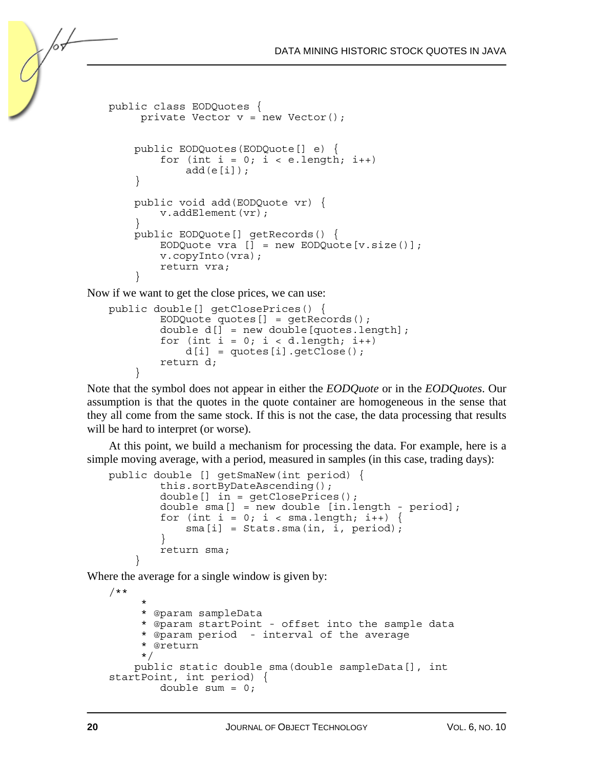```
public class EODQuotes { 
     private Vector v = new Vector();
     public EODQuotes(EODQuote[] e) { 
        for (int i = 0; i < e. length; i++)add(e[i]); } 
     public void add(EODQuote vr) { 
         v.addElement(vr); 
 } 
 public EODQuote[] getRecords() { 
EODQuote vra [\,\] = new EODQuote[v.size() ];
         v.copyInto(vra); 
         return vra; 
 }
```
Now if we want to get the close prices, we can use:

```
public double[] getClosePrices() { 
         EODQuote quotes[] = getRecords(); 
         double d[] = new double[quotes.length]; 
        for (int i = 0; i < d.length; i++)d[i] = quotes[i].getClose();
         return d; 
 }
```
Note that the symbol does not appear in either the *EODQuote* or in the *EODQuotes*. Our assumption is that the quotes in the quote container are homogeneous in the sense that they all come from the same stock. If this is not the case, the data processing that results will be hard to interpret (or worse).

At this point, we build a mechanism for processing the data. For example, here is a simple moving average, with a period, measured in samples (in this case, trading days):

```
public double [] getSmaNew(int period) { 
         this.sortByDateAscending(); 
         double[] in = getClosePrices(); 
        double sma[] = new double [in.length - period];
        for (int i = 0; i < sma.length; i++) {
            sma[i] = Stats.sma(in, i, period);
 } 
         return sma; 
 }
```
Where the average for a single window is given by:

```
/** 
\star * @param sampleData 
      * @param startPoint - offset into the sample data 
      * @param period - interval of the average 
      * @return 
      */ 
     public static double sma(double sampleData[], int 
startPoint, int period) { 
        double sum = 0;
```
/or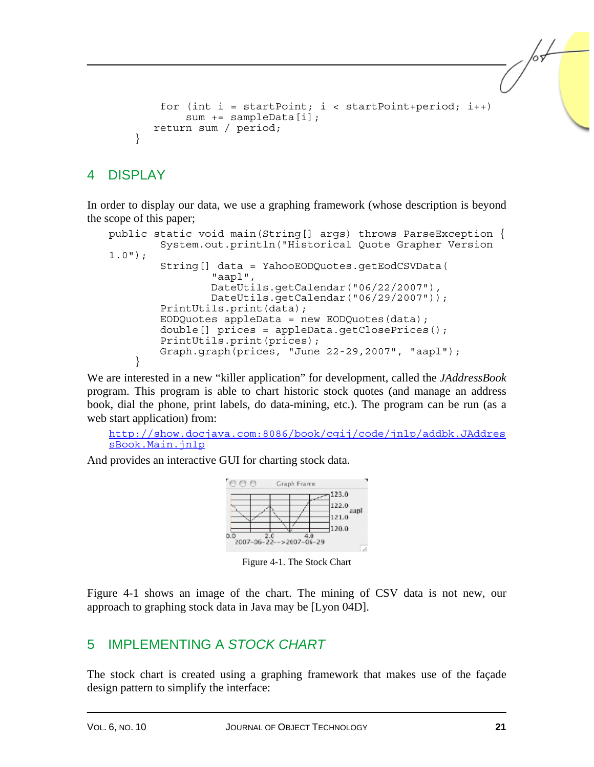```
for (int i = startPoint; i < startPoint+period; i++) sum += sampleData[i]; 
    return sum / period; 
 }
```
## 4 DISPLAY

In order to display our data, we use a graphing framework (whose description is beyond the scope of this paper;

```
public static void main(String[] args) throws ParseException { 
         System.out.println("Historical Quote Grapher Version 
1.0"); 
         String[] data = YahooEODQuotes.getEodCSVData( 
                  "aapl", 
                  DateUtils.getCalendar("06/22/2007"), 
                  DateUtils.getCalendar("06/29/2007")); 
         PrintUtils.print(data); 
        EODQuotes appleData = new EODQuotes (data) ;
         double[] prices = appleData.getClosePrices(); 
         PrintUtils.print(prices); 
         Graph.graph(prices, "June 22-29,2007", "aapl"); 
 }
```
We are interested in a new "killer application" for development, called the *JAddressBook* program. This program is able to chart historic stock quotes (and manage an address book, dial the phone, print labels, do data-mining, etc.). The program can be run (as a web start application) from:

```
http://show.docjava.com:8086/book/cgij/code/jnlp/addbk.JAddres
sBook.Main.jnlp
```
And provides an interactive GUI for charting stock data.



Figure 4-1. The Stock Chart

Figure 4-1 shows an image of the chart. The mining of CSV data is not new, our approach to graphing stock data in Java may be [Lyon 04D].

## 5 IMPLEMENTING A *STOCK CHART*

The stock chart is created using a graphing framework that makes use of the façade design pattern to simplify the interface: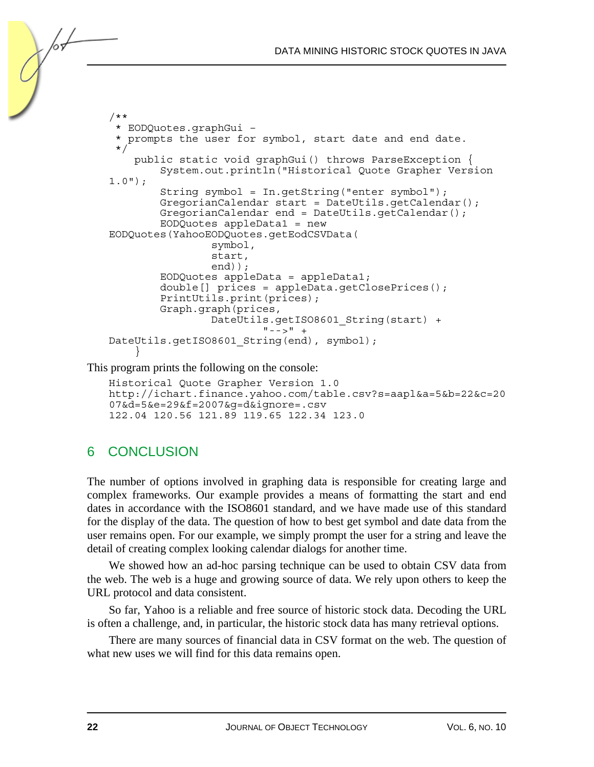```
/** 
  * EODQuotes.graphGui – 
  * prompts the user for symbol, start date and end date. 
\star /
     public static void graphGui() throws ParseException { 
         System.out.println("Historical Quote Grapher Version 
1.0"); 
         String symbol = In.getString("enter symbol"); 
        GregorianCalendar start = DateUtils.getCalendar();
         GregorianCalendar end = DateUtils.getCalendar(); 
         EODQuotes appleData1 = new 
EODQuotes(YahooEODQuotes.getEodCSVData( 
                  symbol, 
                  start, 
                  end)); 
         EODQuotes appleData = appleData1; 
        double[] prices = appleData.qetClosePrices();
         PrintUtils.print(prices); 
         Graph.graph(prices, 
                 DateUtils.getISO8601 String(start) +
                          " -- >" +DateUtils.getISO8601 String(end), symbol);
 }
```
This program prints the following on the console:

```
Historical Quote Grapher Version 1.0 
http://ichart.finance.yahoo.com/table.csv?s=aapl&a=5&b=22&c=20
07&d=5&e=29&f=2007&g=d&ignore=.csv 
122.04 120.56 121.89 119.65 122.34 123.0
```
# 6 CONCLUSION

/or

The number of options involved in graphing data is responsible for creating large and complex frameworks. Our example provides a means of formatting the start and end dates in accordance with the ISO8601 standard, and we have made use of this standard for the display of the data. The question of how to best get symbol and date data from the user remains open. For our example, we simply prompt the user for a string and leave the detail of creating complex looking calendar dialogs for another time.

We showed how an ad-hoc parsing technique can be used to obtain CSV data from the web. The web is a huge and growing source of data. We rely upon others to keep the URL protocol and data consistent.

So far, Yahoo is a reliable and free source of historic stock data. Decoding the URL is often a challenge, and, in particular, the historic stock data has many retrieval options.

There are many sources of financial data in CSV format on the web. The question of what new uses we will find for this data remains open.